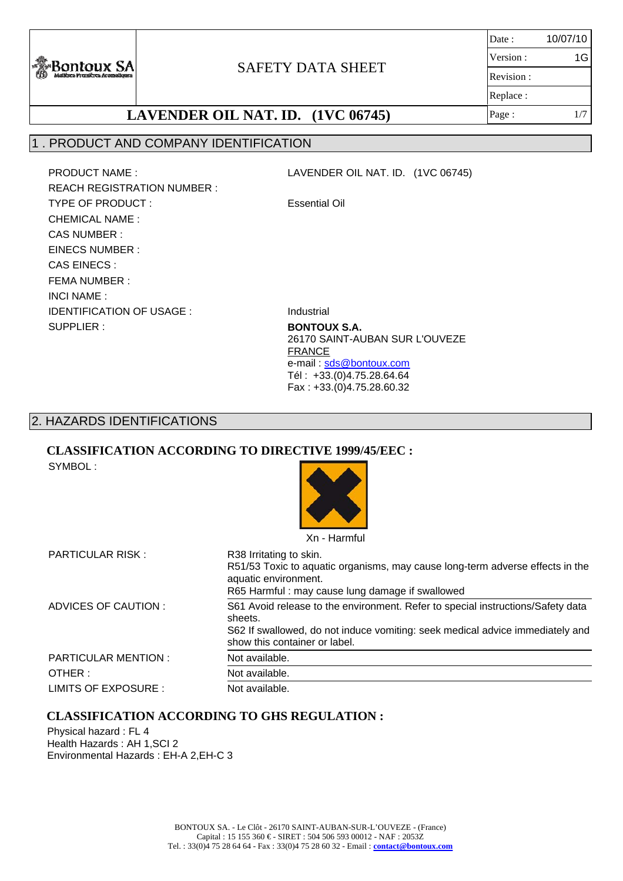BONTOUX SA. - Le Clôt - 26170 SAINT-AUBAN-SUR-L'OUVEZE - (France) Capital : 15 155 360 € - SIRET : 504 506 593 00012 - NAF : 2053Z Tel. : 33(0)4 75 28 64 64 - Fax : 33(0)4 75 28 60 32 - Email : **contact@bontoux.com**

# SAFETY DATA SHEET

#### Date: Version : Revision : Replace : Page :  $1/7$ 10/07/10 1G

## **LAVENDER OIL NAT. ID. (1VC 06745)**

### 1 . PRODUCT AND COMPANY IDENTIFICATION

REACH REGISTRATION NUMBER :

#### PRODUCT NAME : LAVENDER OIL NAT. ID. (1VC 06745)

TYPE OF PRODUCT : Essential Oil

IDENTIFICATION OF USAGE : Industrial SUPPLIER : **BONTOUX S.A.** 26170 SAINT-AUBAN SUR L'OUVEZE FRANCE e-mail : sds@bontoux.com Tél : +33.(0)4.75.28.64.64 Fax : +33.(0)4.75.28.60.32

### 2. HAZARDS IDENTIFICATIONS

#### **CLASSIFICATION ACCORDING TO DIRECTIVE 1999/45/EEC :** SYMBOL :

|                            | Xn - Harmful                                                                                                                                                                                                 |
|----------------------------|--------------------------------------------------------------------------------------------------------------------------------------------------------------------------------------------------------------|
| <b>PARTICULAR RISK:</b>    | R38 Irritating to skin.<br>R51/53 Toxic to aquatic organisms, may cause long-term adverse effects in the<br>aquatic environment.<br>R65 Harmful: may cause lung damage if swallowed                          |
| ADVICES OF CAUTION :       | S61 Avoid release to the environment. Refer to special instructions/Safety data<br>sheets.<br>S62 If swallowed, do not induce vomiting: seek medical advice immediately and<br>show this container or label. |
| <b>PARTICULAR MENTION:</b> | Not available.                                                                                                                                                                                               |
| OTHER:                     | Not available.                                                                                                                                                                                               |
| LIMITS OF EXPOSURE :       | Not available.                                                                                                                                                                                               |

### **CLASSIFICATION ACCORDING TO GHS REGULATION :**

Physical hazard : FL 4 Health Hazards : AH 1,SCI 2 Environmental Hazards : EH-A 2,EH-C 3

⊱Bontoux SA

CHEMICAL NAME : CAS NUMBER : EINECS NUMBER : CAS EINECS : FEMA NUMBER : INCI NAME :

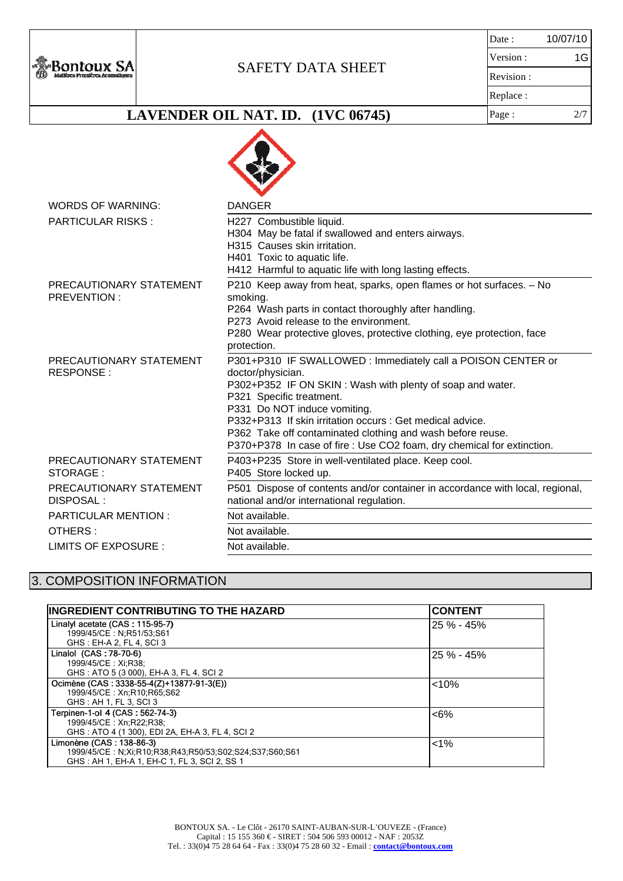

## SAFETY DATA SHEET

| Date:     | 10/07/10 |
|-----------|----------|
| Version : | 1G       |
| Revision: |          |
| Replace:  |          |
| Page:     | 27       |

### **LAVENDER OIL NAT. ID. (1VC 06745)**

| WORDS OF WARNING:                             | <b>DANGER</b>                                                                                                                                                                                                                                                                                                                                                                                                  |
|-----------------------------------------------|----------------------------------------------------------------------------------------------------------------------------------------------------------------------------------------------------------------------------------------------------------------------------------------------------------------------------------------------------------------------------------------------------------------|
| <b>PARTICULAR RISKS:</b>                      | H227 Combustible liquid.<br>H304 May be fatal if swallowed and enters airways.<br>H315 Causes skin irritation.<br>H401 Toxic to aquatic life.<br>H412 Harmful to aquatic life with long lasting effects.                                                                                                                                                                                                       |
| PRECAUTIONARY STATEMENT<br><b>PREVENTION:</b> | P210 Keep away from heat, sparks, open flames or hot surfaces. - No<br>smoking.<br>P264 Wash parts in contact thoroughly after handling.<br>P273 Avoid release to the environment.<br>P280 Wear protective gloves, protective clothing, eye protection, face<br>protection.                                                                                                                                    |
| PRECAUTIONARY STATEMENT<br><b>RESPONSE:</b>   | P301+P310 IF SWALLOWED: Immediately call a POISON CENTER or<br>doctor/physician.<br>P302+P352 IF ON SKIN: Wash with plenty of soap and water.<br>P321 Specific treatment.<br>P331 Do NOT induce vomiting.<br>P332+P313 If skin irritation occurs : Get medical advice.<br>P362 Take off contaminated clothing and wash before reuse.<br>P370+P378 In case of fire : Use CO2 foam, dry chemical for extinction. |
| PRECAUTIONARY STATEMENT<br>STORAGE:           | P403+P235 Store in well-ventilated place. Keep cool.<br>P405 Store locked up.                                                                                                                                                                                                                                                                                                                                  |
| PRECAUTIONARY STATEMENT<br>DISPOSAL:          | P501 Dispose of contents and/or container in accordance with local, regional,<br>national and/or international regulation.                                                                                                                                                                                                                                                                                     |
| <b>PARTICULAR MENTION:</b>                    | Not available.                                                                                                                                                                                                                                                                                                                                                                                                 |
|                                               |                                                                                                                                                                                                                                                                                                                                                                                                                |
| OTHERS:                                       | Not available.                                                                                                                                                                                                                                                                                                                                                                                                 |

## 3. COMPOSITION INFORMATION

| <b>INGREDIENT CONTRIBUTING TO THE HAZARD</b>            | <b>CONTENT</b> |
|---------------------------------------------------------|----------------|
| Linalyl acetate (CAS: 115-95-7)                         | 25 % - 45%     |
| 1999/45/CE: N:R51/53:S61                                |                |
| GHS: EH-A 2, FL 4, SCI 3                                |                |
| Linalol (CAS: 78-70-6)                                  | 25 % - 45%     |
| 1999/45/CE: Xi;R38;                                     |                |
| GHS: ATO 5 (3 000), EH-A 3, FL 4, SCI 2                 |                |
| Ocimène (CAS : 3338-55-4(Z)+13877-91-3(E))              | < 10%          |
| 1999/45/CE: Xn;R10;R65;S62                              |                |
| GHS : AH 1, FL 3, SCI 3                                 |                |
| Terpinen-1-ol 4 (CAS: 562-74-3)                         | $<6\%$         |
| 1999/45/CE: Xn;R22;R38;                                 |                |
| GHS: ATO 4 (1 300), EDI 2A, EH-A 3, FL 4, SCI 2         |                |
| Limonène (CAS : 138-86-3)                               | $< 1\%$        |
| 1999/45/CE: N;Xi;R10;R38;R43;R50/53;S02;S24;S37;S60;S61 |                |
| GHS: AH 1, EH-A 1, EH-C 1, FL 3, SCI 2, SS 1            |                |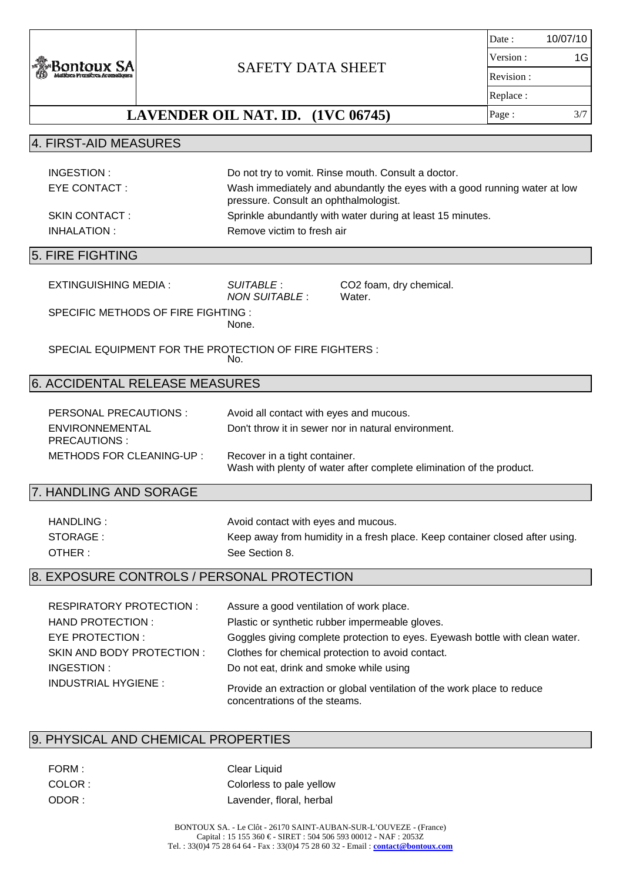**A**Bontoux SA

### SAFETY DATA SHEET

Date: Version : Revision : Replace : Page : 3/7 10/07/10 1G

## **LAVENDER OIL NAT. ID. (1VC 06745)**

### 4. FIRST-AID MEASURES

| INGESTION :    | Do not try to vomit. Rinse mouth. Consult a doctor.                                                                |
|----------------|--------------------------------------------------------------------------------------------------------------------|
| EYE CONTACT:   | Wash immediately and abundantly the eyes with a good running water at low<br>pressure. Consult an ophthalmologist. |
| SKIN CONTACT : | Sprinkle abundantly with water during at least 15 minutes.                                                         |
| INHALATION :   | Remove victim to fresh air                                                                                         |

#### 5. FIRE FIGHTING

| <b>EXTINGUISHING MEDIA:</b>         | SUITABLE :<br>NON SUITABLE : | CO2 foam, dry chemical.<br>Water. |
|-------------------------------------|------------------------------|-----------------------------------|
| SPECIFIC METHODS OF FIRE FIGHTING : |                              |                                   |
|                                     | None.                        |                                   |

SPECIAL EQUIPMENT FOR THE PROTECTION OF FIRE FIGHTERS : No.

#### 6. ACCIDENTAL RELEASE MEASURES

| PERSONAL PRECAUTIONS :           | Avoid all contact with eyes and mucous.                                                               |
|----------------------------------|-------------------------------------------------------------------------------------------------------|
| ENVIRONNEMENTAL<br>PRECAUTIONS : | Don't throw it in sewer nor in natural environment.                                                   |
| METHODS FOR CLEANING-UP :        | Recover in a tight container.<br>Wash with plenty of water after complete elimination of the product. |

### 7. HANDLING AND SORAGE

| HANDLING: | Avoid contact with eyes and mucous.                                          |
|-----------|------------------------------------------------------------------------------|
| STORAGE : | Keep away from humidity in a fresh place. Keep container closed after using. |
| OTHER :   | See Section 8.                                                               |

### 8. EXPOSURE CONTROLS / PERSONAL PROTECTION

| <b>RESPIRATORY PROTECTION:</b> | Assure a good ventilation of work place.                                                                 |
|--------------------------------|----------------------------------------------------------------------------------------------------------|
| HAND PROTECTION :              | Plastic or synthetic rubber impermeable gloves.                                                          |
| EYE PROTECTION :               | Goggles giving complete protection to eyes. Eyewash bottle with clean water.                             |
| SKIN AND BODY PROTECTION :     | Clothes for chemical protection to avoid contact.                                                        |
| INGESTION:                     | Do not eat, drink and smoke while using                                                                  |
| <b>INDUSTRIAL HYGIENE:</b>     | Provide an extraction or global ventilation of the work place to reduce<br>concentrations of the steams. |

### 9. PHYSICAL AND CHEMICAL PROPERTIES

| FORM : |
|--------|
| COLOR: |
| ODOR:  |

Clear Liquid Colorless to pale yellow Lavender, floral, herbal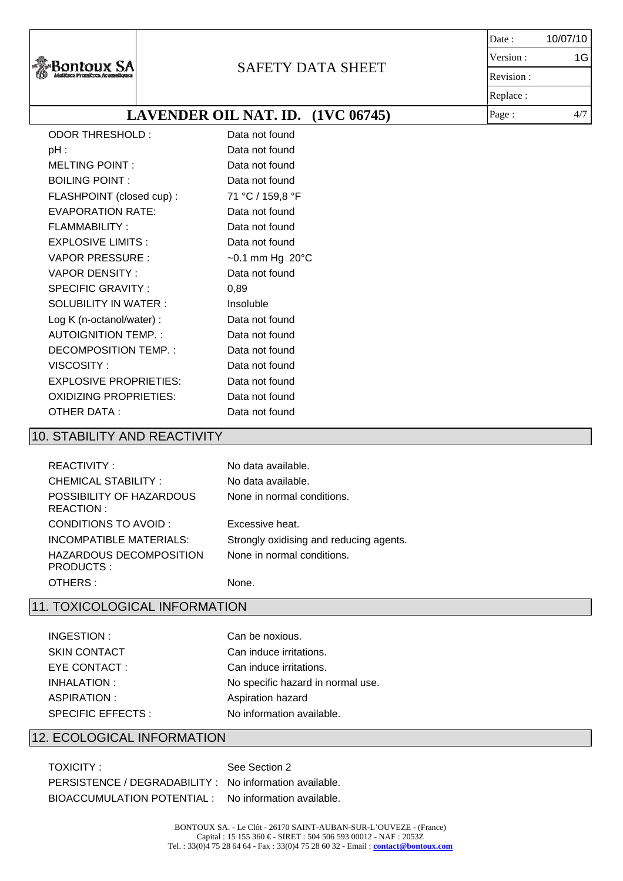

### SAFETY DATA SHEET

| Date :    | 10/07/10 |
|-----------|----------|
| Version:  | 1G       |
| Revision: |          |
| Replace:  |          |
| Page:     |          |

### **LAVENDER OIL NAT. ID. (1VC 06745)**

| <b>ODOR THRESHOLD:</b>        | Data not found                  |
|-------------------------------|---------------------------------|
| pH :                          | Data not found                  |
| <b>MELTING POINT:</b>         | Data not found                  |
| <b>BOILING POINT:</b>         | Data not found                  |
| FLASHPOINT (closed cup):      | 71 °C / 159,8 °F                |
| <b>EVAPORATION RATE:</b>      | Data not found                  |
| <b>FLAMMABILITY:</b>          | Data not found                  |
| <b>EXPLOSIVE LIMITS:</b>      | Data not found                  |
| VAPOR PRESSURE :              | $\sim$ 0.1 mm Hg 20 $\degree$ C |
| VAPOR DENSITY :               | Data not found                  |
| <b>SPECIFIC GRAVITY:</b>      | 0,89                            |
| SOLUBILITY IN WATER:          | Insoluble                       |
| Log K (n-octanol/water) :     | Data not found                  |
| <b>AUTOIGNITION TEMP.:</b>    | Data not found                  |
| DECOMPOSITION TEMP. :         | Data not found                  |
| VISCOSITY:                    | Data not found                  |
| <b>EXPLOSIVE PROPRIETIES:</b> | Data not found                  |
| <b>OXIDIZING PROPRIETIES:</b> | Data not found                  |
| OTHER DATA :                  | Data not found                  |

## 10. STABILITY AND REACTIVITY

| REACTIVITY:                           | No data available.                      |
|---------------------------------------|-----------------------------------------|
| CHEMICAL STABILITY:                   | No data available.                      |
| POSSIBILITY OF HAZARDOUS<br>REACTION: | None in normal conditions.              |
| CONDITIONS TO AVOID :                 | Excessive heat.                         |
| INCOMPATIBLE MATERIALS:               | Strongly oxidising and reducing agents. |
| HAZARDOUS DECOMPOSITION<br>PRODUCTS:  | None in normal conditions.              |
| OTHERS:                               | None.                                   |

### 11. TOXICOLOGICAL INFORMATION

| INGESTION :             |
|-------------------------|
| SKIN CONTACT            |
| EYE CONTACT :           |
| INHALATION :            |
| ASPIRATION:             |
| <b>SPECIFIC EFFECTS</b> |

Can be noxious. Can induce irritations. Can induce irritations. No specific hazard in normal use. Aspiration hazard : No information available.

#### 12. ECOLOGICAL INFORMATION

TOXICITY : See Section 2 PERSISTENCE / DEGRADABILITY : No information available. BIOACCUMULATION POTENTIAL : No information available.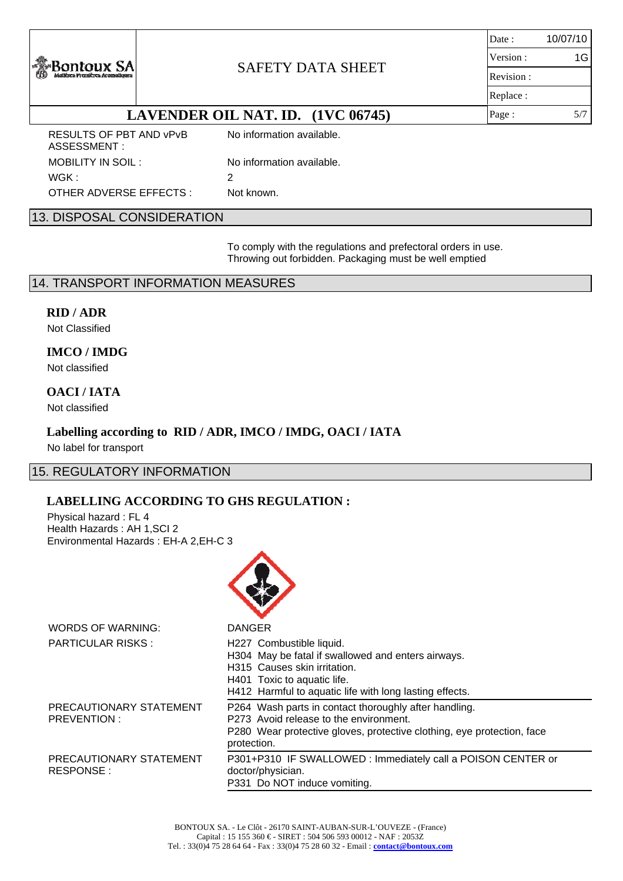| <b>Bontoux SA</b> |  |
|-------------------|--|
|                   |  |

### SAFETY DATA SHEET

Date: Version : Revision : Replace : Page : 5/7 10/07/10 1G

## **LAVENDER OIL NAT. ID. (1VC 06745)**

RESULTS OF PBT AND vPvB ASSESSMENT : MOBILITY IN SOIL : No information available.  $WGK:$  2 OTHER ADVERSE EFFECTS : Not known.

No information available.

### 13. DISPOSAL CONSIDERATION

To comply with the regulations and prefectoral orders in use. Throwing out forbidden. Packaging must be well emptied

### 14. TRANSPORT INFORMATION MEASURES

#### **RID / ADR**

Not Classified

### **IMCO / IMDG**

Not classified

#### **OACI / IATA**

Not classified

# **Labelling according to RID / ADR, IMCO / IMDG, OACI / IATA**

No label for transport

#### 15. REGULATORY INFORMATION

#### **LABELLING ACCORDING TO GHS REGULATION :**

Physical hazard : FL 4 Health Hazards : AH 1,SCI 2 Environmental Hazards : EH-A 2,EH-C 3



| <b>WORDS OF WARNING:</b>               | <b>DANGER</b>                                                                                                                                                                                            |
|----------------------------------------|----------------------------------------------------------------------------------------------------------------------------------------------------------------------------------------------------------|
| <b>PARTICULAR RISKS:</b>               | H227 Combustible liquid.<br>H304 May be fatal if swallowed and enters airways.<br>H315 Causes skin irritation.<br>H401 Toxic to aquatic life.<br>H412 Harmful to aquatic life with long lasting effects. |
| PRECAUTIONARY STATEMENT<br>PREVENTION: | P264 Wash parts in contact thoroughly after handling.<br>P273 Avoid release to the environment.<br>P280 Wear protective gloves, protective clothing, eye protection, face<br>protection.                 |
| PRECAUTIONARY STATEMENT<br>RESPONSE:   | P301+P310 IF SWALLOWED: Immediately call a POISON CENTER or<br>doctor/physician.<br>P331 Do NOT induce vomiting.                                                                                         |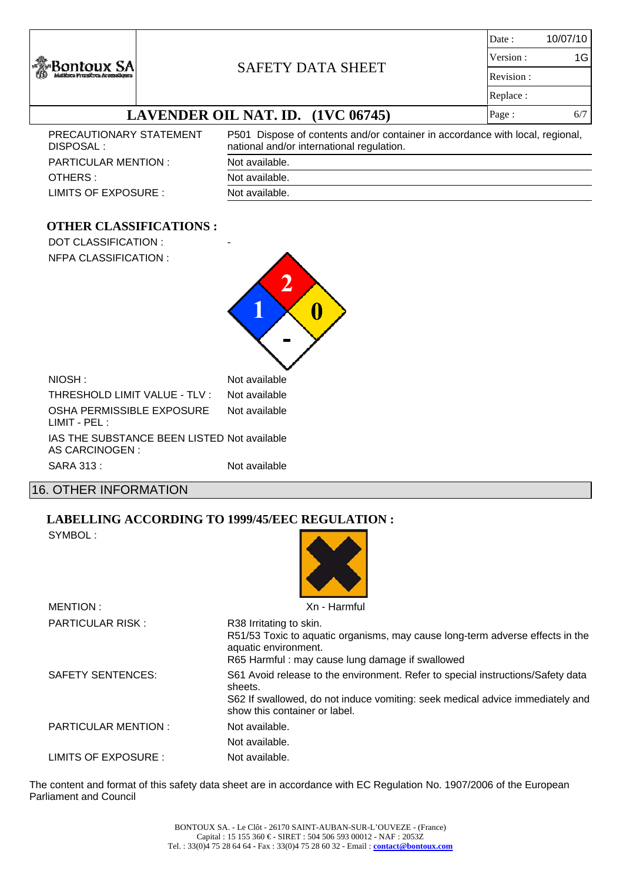| <b>Bontoux SA</b>       |                                                                               | 10/07/10<br>Date: |
|-------------------------|-------------------------------------------------------------------------------|-------------------|
|                         |                                                                               | Version:<br>1G    |
|                         | <b>SAFETY DATA SHEET</b>                                                      | Revision:         |
|                         |                                                                               | Replace:          |
|                         | LAVENDER OIL NAT. ID. (1VC 06745)                                             | 6/7<br>Page:      |
| PRECAUTIONARY STATEMENT | P501 Dispose of contents and/or container in accordance with local, regional, |                   |

| PRECAUTIONARY STATEMENT | P501 Dispose   |
|-------------------------|----------------|
| DISPOSAL :              | national and/c |
| PARTICULAR MENTION :    | Not available. |
| OTHERS:                 | Not available. |
| LIMITS OF EXPOSURE :    | Not available. |

| P501 Dispose of contents and/or container in accordance with local, regional,<br>national and/or international regulation. |  |
|----------------------------------------------------------------------------------------------------------------------------|--|
| Not available.                                                                                                             |  |
| Not available.                                                                                                             |  |
| Not available.                                                                                                             |  |

### **OTHER CLASSIFICATIONS :**

| DOT CLASSIFICATION:                                            |               |
|----------------------------------------------------------------|---------------|
| <b>NFPA CLASSIFICATION:</b>                                    |               |
| NIOSH:                                                         | Not available |
|                                                                |               |
| THRESHOLD LIMIT VALUE - TLV :                                  | Not available |
| OSHA PERMISSIBLE EXPOSURE<br>$LIMIT - PEL:$                    | Not available |
| IAS THE SUBSTANCE BEEN LISTED Not available<br>AS CARCINOGEN : |               |
| SARA 313:                                                      | Not available |

### 16. OTHER INFORMATION

### **LABELLING ACCORDING TO 1999/45/EEC REGULATION :**

| SYMBOL : |  |
|----------|--|
|          |  |

| MENTION:                   | Xn - Harmful                                                                                                                                                                                                 |
|----------------------------|--------------------------------------------------------------------------------------------------------------------------------------------------------------------------------------------------------------|
| <b>PARTICULAR RISK:</b>    | R38 Irritating to skin.                                                                                                                                                                                      |
|                            | R51/53 Toxic to aquatic organisms, may cause long-term adverse effects in the<br>aquatic environment.<br>R65 Harmful: may cause lung damage if swallowed                                                     |
| <b>SAFETY SENTENCES:</b>   | S61 Avoid release to the environment. Refer to special instructions/Safety data<br>sheets.<br>S62 If swallowed, do not induce vomiting: seek medical advice immediately and<br>show this container or label. |
| <b>PARTICULAR MENTION:</b> | Not available.                                                                                                                                                                                               |
|                            | Not available.                                                                                                                                                                                               |
| LIMITS OF EXPOSURE :       | Not available.                                                                                                                                                                                               |
|                            |                                                                                                                                                                                                              |

The content and format of this safety data sheet are in accordance with EC Regulation No. 1907/2006 of the European Parliament and Council